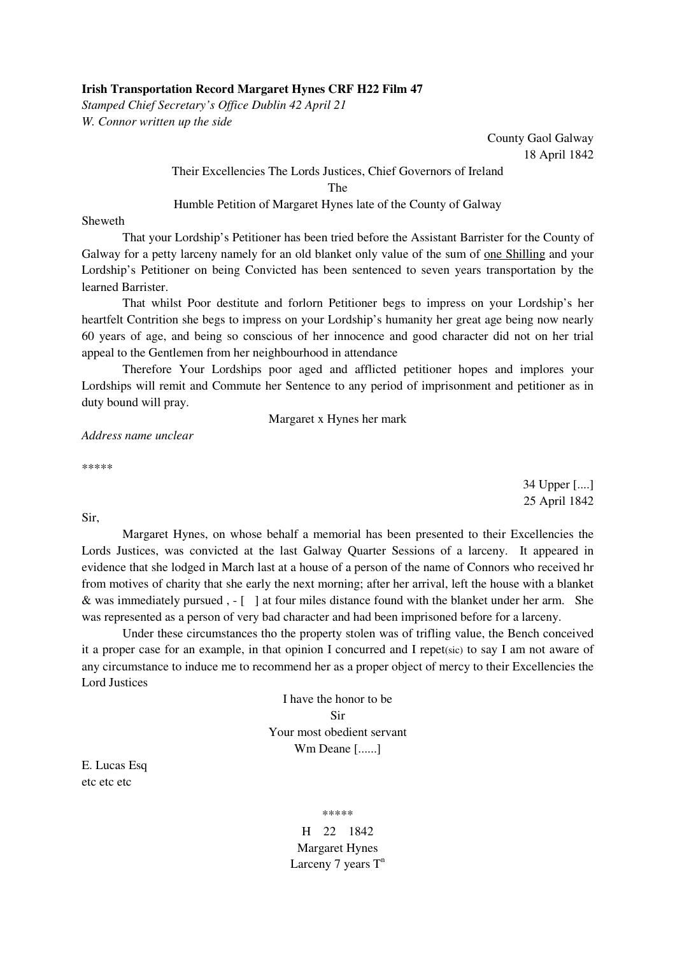## **Irish Transportation Record Margaret Hynes CRF H22 Film 47**

*Stamped Chief Secretary's Office Dublin 42 April 21 W. Connor written up the side* 

> County Gaol Galway 18 April 1842

## Their Excellencies The Lords Justices, Chief Governors of Ireland

The

## Humble Petition of Margaret Hynes late of the County of Galway

Sheweth

 That your Lordship's Petitioner has been tried before the Assistant Barrister for the County of Galway for a petty larceny namely for an old blanket only value of the sum of one Shilling and your Lordship's Petitioner on being Convicted has been sentenced to seven years transportation by the learned Barrister.

 That whilst Poor destitute and forlorn Petitioner begs to impress on your Lordship's her heartfelt Contrition she begs to impress on your Lordship's humanity her great age being now nearly 60 years of age, and being so conscious of her innocence and good character did not on her trial appeal to the Gentlemen from her neighbourhood in attendance

 Therefore Your Lordships poor aged and afflicted petitioner hopes and implores your Lordships will remit and Commute her Sentence to any period of imprisonment and petitioner as in duty bound will pray.

Margaret x Hynes her mark

*Address name unclear* 

\*\*\*\*\*

34 Upper [....] 25 April 1842

Sir,

 Margaret Hynes, on whose behalf a memorial has been presented to their Excellencies the Lords Justices, was convicted at the last Galway Quarter Sessions of a larceny. It appeared in evidence that she lodged in March last at a house of a person of the name of Connors who received hr from motives of charity that she early the next morning; after her arrival, left the house with a blanket & was immediately pursued , - [ ] at four miles distance found with the blanket under her arm. She was represented as a person of very bad character and had been imprisoned before for a larceny.

 Under these circumstances tho the property stolen was of trifling value, the Bench conceived it a proper case for an example, in that opinion I concurred and I repet(sic) to say I am not aware of any circumstance to induce me to recommend her as a proper object of mercy to their Excellencies the Lord Justices

> I have the honor to be Sir Your most obedient servant Wm Deane [......]

E. Lucas Esq etc etc etc

\*\*\*\*\*

H 22 1842 Margaret Hynes Larceny 7 years  $T<sup>n</sup>$